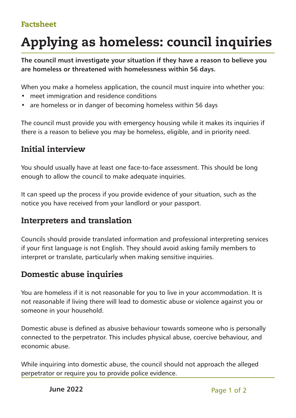#### Factsheet

# Applying as homeless: council inquiries

**The council must investigate your situation if they have a reason to believe you are homeless or threatened with homelessness within 56 days.**

When you make a homeless application, the council must inquire into whether you:

- meet immigration and residence conditions
- are homeless or in danger of becoming homeless within 56 days

The council must provide you with emergency housing while it makes its inquiries if there is a reason to believe you may be homeless, eligible, and in priority need.

#### Initial interview

You should usually have at least one face-to-face assessment. This should be long enough to allow the council to make adequate inquiries.

It can speed up the process if you provide evidence of your situation, such as the notice you have received from your landlord or your passport.

#### Interpreters and translation

Councils should provide translated information and professional interpreting services if your first language is not English. They should avoid asking family members to interpret or translate, particularly when making sensitive inquiries.

#### Domestic abuse inquiries

You are homeless if it is not reasonable for you to live in your accommodation. It is not reasonable if living there will lead to domestic abuse or violence against you or someone in your household.

Domestic abuse is defined as abusive behaviour towards someone who is personally connected to the perpetrator. This includes physical abuse, coercive behaviour, and economic abuse.

While inquiring into domestic abuse, the council should not approach the alleged perpetrator or require you to provide police evidence.